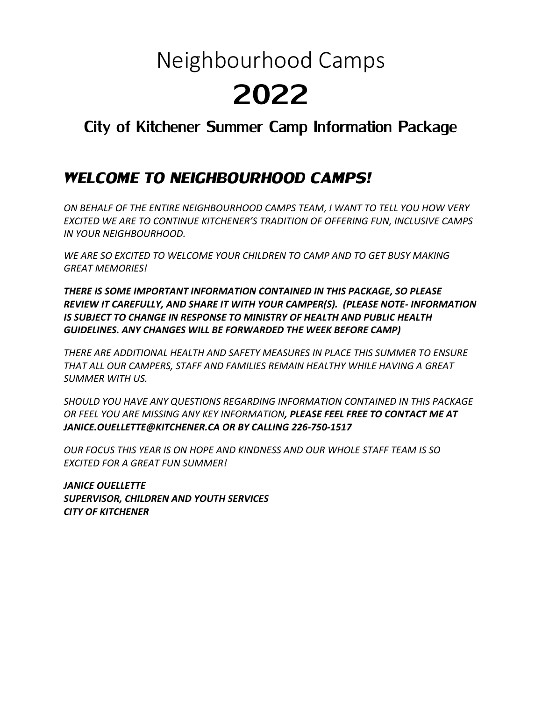## Neighbourhood Camps

# 2022

## City of Kitchener Summer Camp Information Package

#### *WELCOME TO NEIGHBOURHOOD CAMPS!*

*ON BEHALF OF THE ENTIRE NEIGHBOURHOOD CAMPS TEAM, I WANT TO TELL YOU HOW VERY EXCITED WE ARE TO CONTINUE KITCHENER'S TRADITION OF OFFERING FUN, INCLUSIVE CAMPS IN YOUR NEIGHBOURHOOD.* 

*WE ARE SO EXCITED TO WELCOME YOUR CHILDREN TO CAMP AND TO GET BUSY MAKING GREAT MEMORIES!*

*THERE IS SOME IMPORTANT INFORMATION CONTAINED IN THIS PACKAGE, SO PLEASE REVIEW IT CAREFULLY, AND SHARE IT WITH YOUR CAMPER(S). (PLEASE NOTE- INFORMATION IS SUBJECT TO CHANGE IN RESPONSE TO MINISTRY OF HEALTH AND PUBLIC HEALTH GUIDELINES. ANY CHANGES WILL BE FORWARDED THE WEEK BEFORE CAMP)*

*THERE ARE ADDITIONAL HEALTH AND SAFETY MEASURES IN PLACE THIS SUMMER TO ENSURE THAT ALL OUR CAMPERS, STAFF AND FAMILIES REMAIN HEALTHY WHILE HAVING A GREAT SUMMER WITH US.*

*SHOULD YOU HAVE ANY QUESTIONS REGARDING INFORMATION CONTAINED IN THIS PACKAGE OR FEEL YOU ARE MISSING ANY KEY INFORMATION, PLEASE FEEL FREE TO CONTACT ME AT [JANICE.OUELLETTE@KITCHENER.CA](mailto:janice.ouellette@kitchener.ca) OR BY CALLING 226-750-1517*

*OUR FOCUS THIS YEAR IS ON HOPE AND KINDNESS AND OUR WHOLE STAFF TEAM IS SO EXCITED FOR A GREAT FUN SUMMER!*

*JANICE OUELLETTE SUPERVISOR, CHILDREN AND YOUTH SERVICES CITY OF KITCHENER*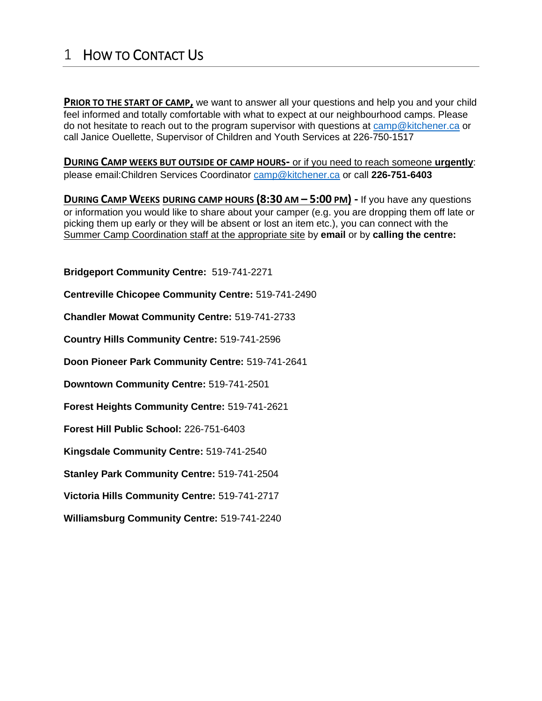#### 1 HOW TO CONTACT US

**PRIOR TO THE START OF CAMP,** we want to answer all your questions and help you and your child feel informed and totally comfortable with what to expect at our neighbourhood camps. Please do not hesitate to reach out to the program supervisor with questions at [camp@kitchener.ca](mailto:camp@kitchener.ca) or call Janice Ouellette, Supervisor of Children and Youth Services at 226-750-1517

**DURING CAMP WEEKS BUT OUTSIDE OF CAMP HOURS-** or if you need to reach someone **urgently**: please email:Children Services Coordinator [camp@kitchener.ca](mailto:camp@kitchener.ca) or call **226-751-6403**

**DURING CAMP WEEKS DURING CAMP HOURS (8:30 AM – 5:00 PM) -** If you have any questions or information you would like to share about your camper (e.g. you are dropping them off late or picking them up early or they will be absent or lost an item etc.), you can connect with the Summer Camp Coordination staff at the appropriate site by **email** or by **calling the centre:**

**Bridgeport Community Centre:** 519-741-2271

**Centreville Chicopee Community Centre:** 519-741-2490

**Chandler Mowat Community Centre:** 519-741-2733

**Country Hills Community Centre:** 519-741-2596

**Doon Pioneer Park Community Centre:** 519-741-2641

**Downtown Community Centre:** [519-741-2501](tel:5197412501)

**Forest Heights Community Centre:** 519-741-2621

**Forest Hill Public School:** 226-751-6403

**Kingsdale Community Centre:** 519-741-2540

**Stanley Park Community Centre:** 519-741-2504

**Victoria Hills Community Centre:** 519-741-2717

**Williamsburg Community Centre:** 519-741-2240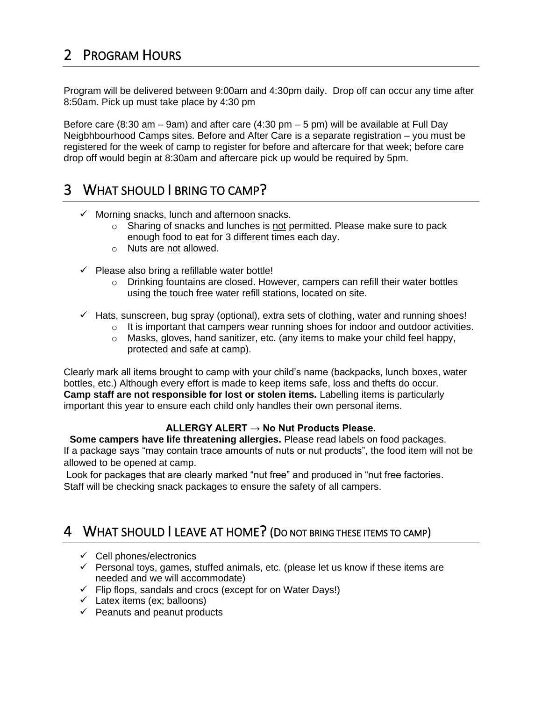#### 2 PROGRAM HOURS

Program will be delivered between 9:00am and 4:30pm daily. Drop off can occur any time after 8:50am. Pick up must take place by 4:30 pm

Before care (8:30 am – 9am) and after care (4:30 pm – 5 pm) will be available at Full Day Neigbhbourhood Camps sites. Before and After Care is a separate registration – you must be registered for the week of camp to register for before and aftercare for that week; before care drop off would begin at 8:30am and aftercare pick up would be required by 5pm.

#### 3 WHAT SHOULD I BRING TO CAMP?

- $\checkmark$  Morning snacks, lunch and afternoon snacks.
	- $\circ$  Sharing of snacks and lunches is not permitted. Please make sure to pack enough food to eat for 3 different times each day.
	- o Nuts are not allowed.
- $\checkmark$  Please also bring a refillable water bottle!
	- $\circ$  Drinking fountains are closed. However, campers can refill their water bottles using the touch free water refill stations, located on site.
- $\checkmark$  Hats, sunscreen, bug spray (optional), extra sets of clothing, water and running shoes!
	- $\circ$  It is important that campers wear running shoes for indoor and outdoor activities.
	- $\circ$  Masks, gloves, hand sanitizer, etc. (any items to make your child feel happy, protected and safe at camp).

Clearly mark all items brought to camp with your child's name (backpacks, lunch boxes, water bottles, etc.) Although every effort is made to keep items safe, loss and thefts do occur. **Camp staff are not responsible for lost or stolen items.** Labelling items is particularly important this year to ensure each child only handles their own personal items.

#### **ALLERGY ALERT → No Nut Products Please.**

**Some campers have life threatening allergies.** Please read labels on food packages. If a package says "may contain trace amounts of nuts or nut products", the food item will not be allowed to be opened at camp.

Look for packages that are clearly marked "nut free" and produced in "nut free factories. Staff will be checking snack packages to ensure the safety of all campers.

#### 4 WHAT SHOULD I LEAVE AT HOME? (DO NOT BRING THESE ITEMS TO CAMP)

- $\checkmark$  Cell phones/electronics
- $\checkmark$  Personal toys, games, stuffed animals, etc. (please let us know if these items are needed and we will accommodate)
- $\checkmark$  Flip flops, sandals and crocs (except for on Water Days!)
- $\checkmark$  Latex items (ex; balloons)
- $\checkmark$  Peanuts and peanut products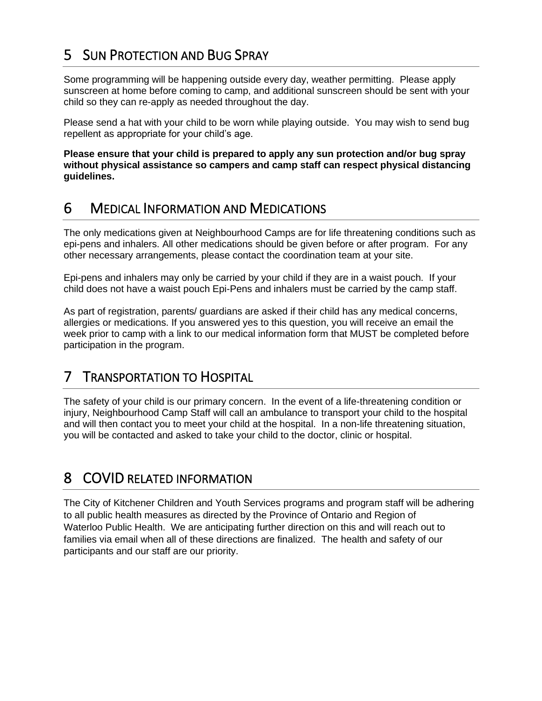## 5 SUN PROTECTION AND BUG SPRAY

Some programming will be happening outside every day, weather permitting. Please apply sunscreen at home before coming to camp, and additional sunscreen should be sent with your child so they can re-apply as needed throughout the day.

Please send a hat with your child to be worn while playing outside. You may wish to send bug repellent as appropriate for your child's age.

**Please ensure that your child is prepared to apply any sun protection and/or bug spray without physical assistance so campers and camp staff can respect physical distancing guidelines.**

#### 6 MEDICAL INFORMATION AND MEDICATIONS

The only medications given at Neighbourhood Camps are for life threatening conditions such as epi-pens and inhalers. All other medications should be given before or after program. For any other necessary arrangements, please contact the coordination team at your site.

Epi-pens and inhalers may only be carried by your child if they are in a waist pouch. If your child does not have a waist pouch Epi-Pens and inhalers must be carried by the camp staff.

As part of registration, parents/ guardians are asked if their child has any medical concerns, allergies or medications. If you answered yes to this question, you will receive an email the week prior to camp with a link to our medical information form that MUST be completed before participation in the program.

#### 7 TRANSPORTATION TO HOSPITAL

The safety of your child is our primary concern. In the event of a life-threatening condition or injury, Neighbourhood Camp Staff will call an ambulance to transport your child to the hospital and will then contact you to meet your child at the hospital. In a non-life threatening situation, you will be contacted and asked to take your child to the doctor, clinic or hospital.

#### 8 COVID RELATED INFORMATION

The City of Kitchener Children and Youth Services programs and program staff will be adhering to all public health measures as directed by the Province of Ontario and Region of Waterloo Public Health. We are anticipating further direction on this and will reach out to families via email when all of these directions are finalized. The health and safety of our participants and our staff are our priority.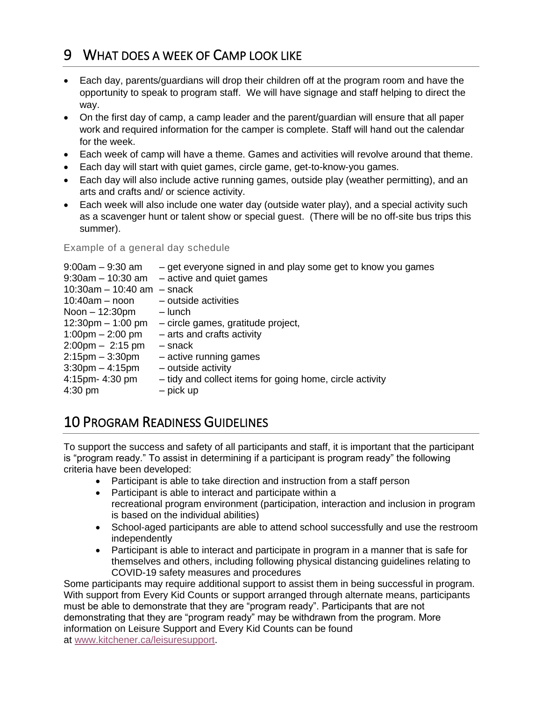#### 9 WHAT DOES A WEEK OF CAMP LOOK LIKE

- Each day, parents/guardians will drop their children off at the program room and have the opportunity to speak to program staff. We will have signage and staff helping to direct the way.
- On the first day of camp, a camp leader and the parent/guardian will ensure that all paper work and required information for the camper is complete. Staff will hand out the calendar for the week.
- Each week of camp will have a theme. Games and activities will revolve around that theme.
- Each day will start with quiet games, circle game, get-to-know-you games.
- Each day will also include active running games, outside play (weather permitting), and an arts and crafts and/ or science activity.
- Each week will also include one water day (outside water play), and a special activity such as a scavenger hunt or talent show or special guest. (There will be no off-site bus trips this summer).

#### Example of a general day schedule

| $9:00$ am $-9:30$ am<br>$9:30$ am $-10:30$ am<br>10:30am $-$ 10:40 am $-$ snack | - get everyone signed in and play some get to know you games<br>- active and quiet games |
|---------------------------------------------------------------------------------|------------------------------------------------------------------------------------------|
| $10:40$ am – noon                                                               | $-$ outside activities                                                                   |
| Noon $-12:30$ pm                                                                | – lunch                                                                                  |
| $12:30$ pm $-1:00$ pm                                                           | - circle games, gratitude project,                                                       |
| 1:00pm $-$ 2:00 pm                                                              | - arts and crafts activity                                                               |
| $2:00 \text{pm} - 2:15 \text{pm}$                                               | – snack                                                                                  |
| $2:15$ pm $-3:30$ pm                                                            | $-$ active running games                                                                 |
| $3:30$ pm $-4:15$ pm                                                            | - outside activity                                                                       |
| 4:15pm- 4:30 pm                                                                 | - tidy and collect items for going home, circle activity                                 |
| $4:30 \text{ pm}$                                                               | – pick up                                                                                |
|                                                                                 |                                                                                          |

#### 10 PROGRAM READINESS GUIDELINES

To support the success and safety of all participants and staff, it is important that the participant is "program ready." To assist in determining if a participant is program ready" the following criteria have been developed:

- Participant is able to take direction and instruction from a staff person
- Participant is able to interact and participate within a recreational program environment (participation, interaction and inclusion in program is based on the individual abilities)
- School-aged participants are able to attend school successfully and use the restroom independently
- Participant is able to interact and participate in program in a manner that is safe for themselves and others, including following physical distancing guidelines relating to COVID-19 safety measures and procedures

Some participants may require additional support to assist them in being successful in program. With support from Every Kid Counts or support arranged through alternate means, participants must be able to demonstrate that they are "program ready". Participants that are not demonstrating that they are "program ready" may be withdrawn from the program. More information on Leisure Support and Every Kid Counts can be found a[t](http://www.kitchener.ca/leisuresupport) [www.kitchener.ca/leisuresupport.](http://www.kitchener.ca/leisuresupport)